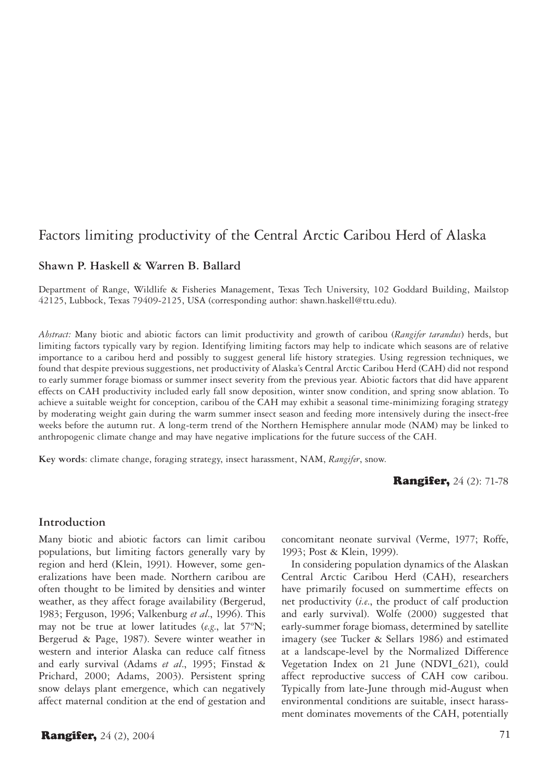# Factors limiting productivity of the Central Arctic Caribou Herd of Alaska

#### **Shawn P. Haskell & Warren B. Ballard**

Department of Range, Wildlife & Fisheries Management, Texas Tech University, 102 Goddard Building, Mailstop 42125, Lubbock, Texas 79409-2125, USA (corresponding author: shawn.haskell@ttu.edu).

*Abstract:* Many biotic and abiotic factors can limit productivity and growth of caribou (*Rangifer tarandus*) herds, but limiting factors typically vary by region. Identifying limiting factors may help to indicate which seasons are of relative importance to a caribou herd and possibly to suggest general life history strategies. Using regression techniques, we found that despite previous suggestions, net productivity of Alaska's Central Arctic Caribou Herd (CAH) did not respond to early summer forage biomass or summer insect severity from the previous year. Abiotic factors that did have apparent effects on CAH productivity included early fall snow deposition, winter snow condition, and spring snow ablation. To achieve a suitable weight for conception, caribou of the CAH may exhibit a seasonal time-minimizing foraging strategy by moderating weight gain during the warm summer insect season and feeding more intensively during the insect-free weeks before the autumn rut. A long-term trend of the Northern Hemisphere annular mode (NAM) may be linked to anthropogenic climate change and may have negative implications for the future success of the CAH.

**Key words**: climate change, foraging strategy, insect harassment, NAM, *Rangifer*, snow.

**Rangifer, 24 (2): 71-78** 

#### **Introduction**

Many biotic and abiotic factors can limit caribou populations, but limiting factors generally vary by region and herd (Klein, 1991). However, some generalizations have been made. Northern caribou are often thought to be limited by densities and winter weather, as they affect forage availability (Bergerud, 1983; Ferguson, 1996; Valkenburg *et al*., 1996). This may not be true at lower latitudes (*e.g*., lat 57ºN; Bergerud & Page, 1987). Severe winter weather in western and interior Alaska can reduce calf fitness and early survival (Adams *et al*., 1995; Finstad & Prichard, 2000; Adams, 2003). Persistent spring snow delays plant emergence, which can negatively affect maternal condition at the end of gestation and

concomitant neonate survival (Verme, 1977; Roffe, 1993; Post & Klein, 1999).

In considering population dynamics of the Alaskan Central Arctic Caribou Herd (CAH), researchers have primarily focused on summertime effects on net productivity (*i.e*., the product of calf production and early survival). Wolfe (2000) suggested that early-summer forage biomass, determined by satellite imagery (see Tucker & Sellars 1986) and estimated at a landscape-level by the Normalized Difference Vegetation Index on 21 June (NDVI\_621), could affect reproductive success of CAH cow caribou. Typically from late-June through mid-August when environmental conditions are suitable, insect harassment dominates movements of the CAH, potentially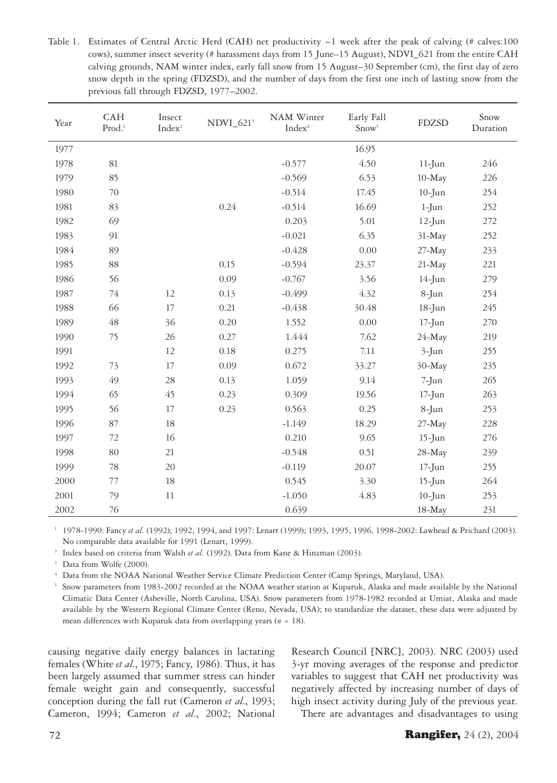Table 1. Estimates of Central Arctic Herd (CAH) net productivity  $\sim$ 1 week after the peak of calving (# calves:100 cows), summer insect severity (# harassment days from 15 June–15 August), NDVI\_621 from the entire CAH calving grounds, NAM winter index, early fall snow from 15 August–30 September (cm), the first day of zero snow depth in the spring (FDZSD), and the number of days from the first one inch of lasting snow from the previous fall through FDZSD, 1977–2002.

| Year | CAH<br>$Prod.$ <sup>1</sup> | Insect<br>Index <sup>2</sup> | $NDVI_6213$ | NAM Winter<br>Index <sup>4</sup> | Early Fall<br>Snow <sup>5</sup> | <b>FDZSD</b> | Snow<br>Duration |
|------|-----------------------------|------------------------------|-------------|----------------------------------|---------------------------------|--------------|------------------|
| 1977 |                             |                              |             |                                  | 16.95                           |              |                  |
| 1978 | 81                          |                              |             | $-0.577$                         | 4.50                            | $11$ -Jun    | 246              |
| 1979 | 85                          |                              |             | $-0.569$                         | 6.53                            | $10-May$     | 226              |
| 1980 | 70                          |                              |             | $-0.514$                         | 17.45                           | $10$ -Jun    | 254              |
| 1981 | 83                          |                              | 0.24        | $-0.514$                         | 16.69                           | $1-Jun$      | 252              |
| 1982 | 69                          |                              |             | 0.203                            | 5.01                            | $12$ -Jun    | 272              |
| 1983 | 91                          |                              |             | $-0.021$                         | 6.35                            | $31-May$     | 252              |
| 1984 | 89                          |                              |             | $-0.428$                         | 0.00                            | 27-May       | 233              |
| 1985 | 88                          |                              | 0.15        | $-0.594$                         | 23.37                           | $21-May$     | 221              |
| 1986 | 56                          |                              | 0.09        | $-0.767$                         | 3.56                            | 14-Jun       | 279              |
| 1987 | 74                          | 12                           | 0.13        | $-0.499$                         | 4.32                            | 8-Jun        | 254              |
| 1988 | 66                          | 17                           | 0.21        | $-0.438$                         | 30.48                           | 18-Jun       | 245              |
| 1989 | 48                          | 36                           | 0.20        | 1.552                            | 0.00                            | $17$ -Jun    | 270              |
| 1990 | 75                          | 26                           | 0.27        | 1.444                            | 7.62                            | $24$ -May    | 219              |
| 1991 |                             | 12                           | 0.18        | 0.275                            | 7.11                            | $3$ -Jun     | 255              |
| 1992 | 73                          | 17                           | 0.09        | 0.672                            | 33.27                           | 30-May       | 235              |
| 1993 | 49                          | 28                           | 0.13        | 1.059                            | 9.14                            | 7-Jun        | 265              |
| 1994 | 65                          | 45                           | 0.23        | 0.309                            | 19.56                           | $17 - Jun$   | 263              |
| 1995 | 56                          | 17                           | 0.23        | 0.563                            | 0.25                            | 8-Jun        | 253              |
| 1996 | 87                          | 18                           |             | $-1.149$                         | 18.29                           | $27-May$     | 228              |
| 1997 | 72                          | 16                           |             | 0.210                            | 9.65                            | $15$ -Jun    | 276              |
| 1998 | 80                          | 21                           |             | $-0.548$                         | 0.51                            | 28-May       | 239              |
| 1999 | 78                          | 20                           |             | $-0.119$                         | 20.07                           | $17 - Jun$   | 255              |
| 2000 | 77                          | 18                           |             | 0.545                            | 3.30                            | 15-Jun       | 264              |
| 2001 | 79                          | 11                           |             | $-1.050$                         | 4.83                            | $10$ -Jun    | 253              |
| 2002 | 76                          |                              |             | 0.639                            |                                 | 18-May       | 231              |

1 1978-1990: Fancy *et al.* (1992); 1992, 1994, and 1997: Lenart (1999); 1993, 1995, 1996, 1998-2002: Lawhead & Prichard (2003). No comparable data available for 1991 (Lenart, 1999).

<sup>2</sup> Index based on criteria from Walsh et al. (1992). Data from Kane & Hinzman (2003).

<sup>3</sup> Data from Wolfe (2000).

4 Data from the NOAA National Weather Service Climate Prediction Center (Camp Springs, Maryland, USA).

5 Snow parameters from 1983-2002 recorded at the NOAA weather station at Kuparuk, Alaska and made available by the National Climatic Data Center (Asheville, North Carolina, USA). Snow parameters from 1978-1982 recorded at Umiat, Alaska and made available by the Western Regional Climate Center (Reno, Nevada, USA); to standardize the dataset, these data were adjusted by mean differences with Kuparuk data from overlapping years  $(n = 18)$ .

causing negative daily energy balances in lactating females (White *et al*., 1975; Fancy, 1986). Thus, it has been largely assumed that summer stress can hinder female weight gain and consequently, successful conception during the fall rut (Cameron *et al*., 1993; Cameron, 1994; Cameron *et al*., 2002; National

Research Council [NRC], 2003). NRC (2003) used 3-yr moving averages of the response and predictor variables to suggest that CAH net productivity was negatively affected by increasing number of days of high insect activity during July of the previous year.

There are advantages and disadvantages to using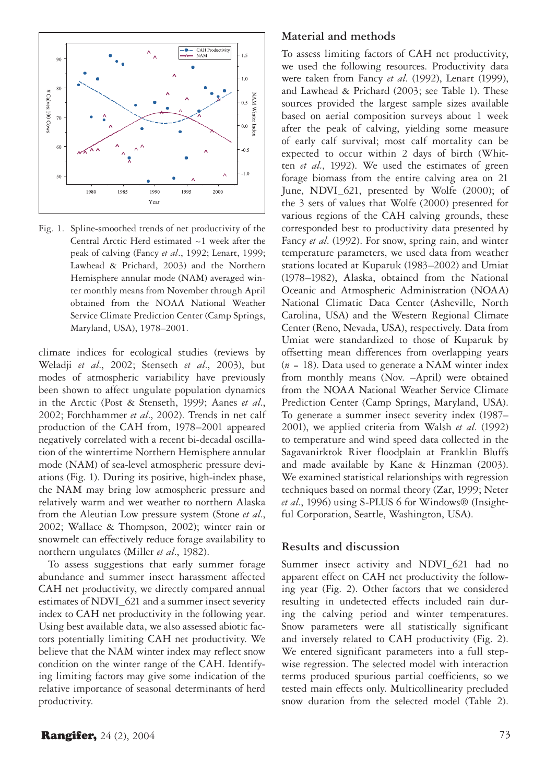

Fig. 1. Spline-smoothed trends of net productivity of the Central Arctic Herd estimated ~1 week after the peak of calving (Fancy *et al*., 1992; Lenart, 1999; Lawhead & Prichard, 2003) and the Northern Hemisphere annular mode (NAM) averaged winter monthly means from November through April obtained from the NOAA National Weather Service Climate Prediction Center (Camp Springs, Maryland, USA), 1978–2001.

climate indices for ecological studies (reviews by Weladji *et al*., 2002; Stenseth *et al*., 2003), but modes of atmospheric variability have previously been shown to affect ungulate population dynamics in the Arctic (Post & Stenseth, 1999; Aanes *et al*., 2002; Forchhammer *et al*., 2002). Trends in net calf production of the CAH from, 1978–2001 appeared negatively correlated with a recent bi-decadal oscillation of the wintertime Northern Hemisphere annular mode (NAM) of sea-level atmospheric pressure deviations (Fig. 1). During its positive, high-index phase, the NAM may bring low atmospheric pressure and relatively warm and wet weather to northern Alaska from the Aleutian Low pressure system (Stone *et al*., 2002; Wallace & Thompson, 2002); winter rain or snowmelt can effectively reduce forage availability to northern ungulates (Miller *et al*., 1982).

To assess suggestions that early summer forage abundance and summer insect harassment affected CAH net productivity, we directly compared annual estimates of NDVI\_621 and a summer insect severity index to CAH net productivity in the following year. Using best available data, we also assessed abiotic factors potentially limiting CAH net productivity. We believe that the NAM winter index may reflect snow condition on the winter range of the CAH. Identifying limiting factors may give some indication of the relative importance of seasonal determinants of herd productivity.

#### **Material and methods**

To assess limiting factors of CAH net productivity, we used the following resources. Productivity data were taken from Fancy *et al*. (1992), Lenart (1999), and Lawhead & Prichard (2003; see Table 1). These sources provided the largest sample sizes available based on aerial composition surveys about 1 week after the peak of calving, yielding some measure of early calf survival; most calf mortality can be expected to occur within 2 days of birth (Whitten *et al.*, 1992). We used the estimates of green forage biomass from the entire calving area on 21 June, NDVI 621, presented by Wolfe (2000); of the 3 sets of values that Wolfe (2000) presented for various regions of the CAH calving grounds, these corresponded best to productivity data presented by Fancy *et al*. (1992). For snow, spring rain, and winter temperature parameters, we used data from weather stations located at Kuparuk (1983–2002) and Umiat (1978–1982), Alaska, obtained from the National Oceanic and Atmospheric Administration (NOAA) National Climatic Data Center (Asheville, North Carolina, USA) and the Western Regional Climate Center (Reno, Nevada, USA), respectively. Data from Umiat were standardized to those of Kuparuk by offsetting mean differences from overlapping years  $(n = 18)$ . Data used to generate a NAM winter index from monthly means (Nov. –April) were obtained from the NOAA National Weather Service Climate Prediction Center (Camp Springs, Maryland, USA). To generate a summer insect severity index (1987– 2001), we applied criteria from Walsh *et al*. (1992) to temperature and wind speed data collected in the Sagavanirktok River floodplain at Franklin Bluffs and made available by Kane & Hinzman (2003). We examined statistical relationships with regression techniques based on normal theory (Zar, 1999; Neter *et al*., 1996) using S-PLUS 6 for Windows® (Insightful Corporation, Seattle, Washington, USA).

### **Results and discussion**

Summer insect activity and NDVI\_621 had no apparent effect on CAH net productivity the following year (Fig. 2). Other factors that we considered resulting in undetected effects included rain during the calving period and winter temperatures. Snow parameters were all statistically significant and inversely related to CAH productivity (Fig. 2). We entered significant parameters into a full stepwise regression. The selected model with interaction terms produced spurious partial coefficients, so we tested main effects only. Multicollinearity precluded snow duration from the selected model (Table 2).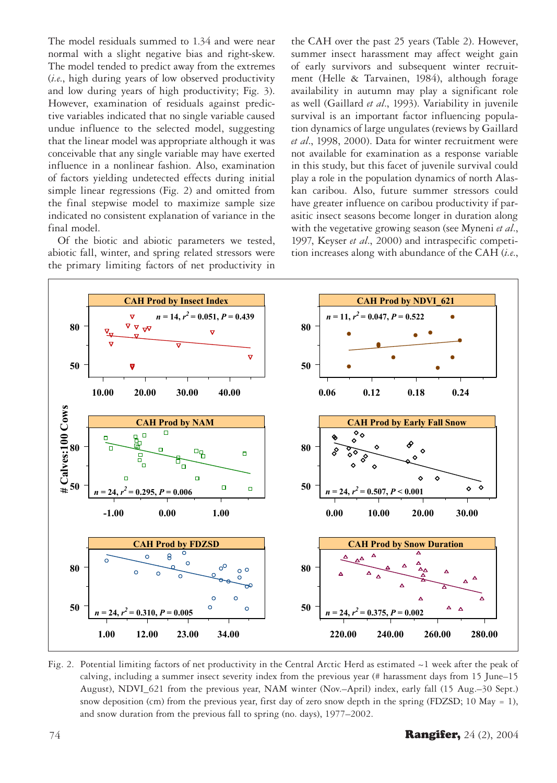The model residuals summed to 1.34 and were near normal with a slight negative bias and right-skew. The model tended to predict away from the extremes (i.e., high during years of low observed productivity and low during years of high productivity; Fig. 3). However, examination of residuals against predictive variables indicated that no single variable caused undue influence to the selected model, suggesting that the linear model was appropriate although it was conceivable that any single variable may have exerted influence in a nonlinear fashion. Also, examination of factors yielding undetected effects during initial simple linear regressions (Fig. 2) and omitted from the final stepwise model to maximize sample size indicated no consistent explanation of variance in the final model.

Of the biotic and abiotic parameters we tested, abiotic fall, winter, and spring related stressors were the primary limiting factors of net productivity in the CAH over the past 25 years (Table 2). However, summer insect harassment may affect weight gain of early survivors and subsequent winter recruitment (Helle & Tarvainen, 1984), although forage availability in autumn may play a significant role as well (Gaillard et al., 1993). Variability in juvenile survival is an important factor influencing population dynamics of large ungulates (reviews by Gaillard et al., 1998, 2000). Data for winter recruitment were not available for examination as a response variable in this study, but this facet of juvenile survival could play a role in the population dynamics of north Alaskan caribou. Also, future summer stressors could have greater influence on caribou productivity if parasitic insect seasons become longer in duration along with the vegetative growing season (see Myneni et al., 1997, Keyser et al., 2000) and intraspecific competition increases along with abundance of the CAH (i.e.,



Fig. 2. Potential limiting factors of net productivity in the Central Arctic Herd as estimated  $\sim$ 1 week after the peak of calving, including a summer insect severity index from the previous year (# harassment days from 15 June-15 August), NDVI\_621 from the previous year, NAM winter (Nov.-April) index, early fall (15 Aug.-30 Sept.) snow deposition (cm) from the previous year, first day of zero snow depth in the spring (FDZSD; 10 May = 1), and snow duration from the previous fall to spring (no. days), 1977-2002.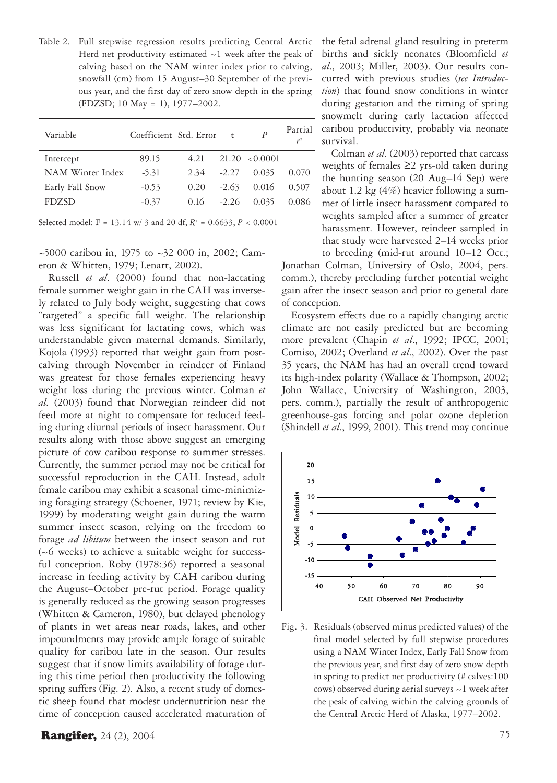Table 2. Full stepwise regression results predicting Central Arctic Herd net productivity estimated  $\sim$  1 week after the peak of calving based on the NAM winter index prior to calving, snowfall (cm) from 15 August–30 September of the previous year, and the first day of zero snow depth in the spring (FDZSD; 10 May = 1), 1977–2002.

| Variable         | Coefficient Std. Error |      | $\mathsf{r}$ | P                  | Partial |
|------------------|------------------------|------|--------------|--------------------|---------|
| Intercept        | 89.15                  | 4.21 |              | $21.20 \le 0.0001$ |         |
| NAM Winter Index | $-5.31$                | 2.34 | $-2.27$      | 0.035              | 0.070   |
| Early Fall Snow  | $-0.53$                | 0.20 | $-2.63$      | 0.016              | 0.507   |
| <b>FDZSD</b>     | $-0.37$                | 0.16 | $-2.26$      | 0.035              | 0.086   |

Selected model: F = 13.14 w/ 3 and 20 df, *R2* = 0.6633, *P* < 0.0001

 $\sim$ 5000 caribou in, 1975 to  $\sim$ 32 000 in, 2002; Cameron & Whitten, 1979; Lenart, 2002).

Russell *et al*. (2000) found that non-lactating female summer weight gain in the CAH was inversely related to July body weight, suggesting that cows "targeted" a specific fall weight. The relationship was less significant for lactating cows, which was understandable given maternal demands. Similarly, Kojola (1993) reported that weight gain from postcalving through November in reindeer of Finland was greatest for those females experiencing heavy weight loss during the previous winter. Colman *et al.* (2003) found that Norwegian reindeer did not feed more at night to compensate for reduced feeding during diurnal periods of insect harassment. Our results along with those above suggest an emerging picture of cow caribou response to summer stresses. Currently, the summer period may not be critical for successful reproduction in the CAH. Instead, adult female caribou may exhibit a seasonal time-minimizing foraging strategy (Schoener, 1971; review by Kie, 1999) by moderating weight gain during the warm summer insect season, relying on the freedom to forage *ad libitum* between the insect season and rut (~6 weeks) to achieve a suitable weight for successful conception. Roby (1978:36) reported a seasonal increase in feeding activity by CAH caribou during the August–October pre-rut period. Forage quality is generally reduced as the growing season progresses (Whitten & Cameron, 1980), but delayed phenology of plants in wet areas near roads, lakes, and other impoundments may provide ample forage of suitable quality for caribou late in the season. Our results suggest that if snow limits availability of forage during this time period then productivity the following spring suffers (Fig. 2). Also, a recent study of domestic sheep found that modest undernutrition near the time of conception caused accelerated maturation of the fetal adrenal gland resulting in preterm births and sickly neonates (Bloomfield *et al*., 2003; Miller, 2003). Our results concurred with previous studies (*see Introduction*) that found snow conditions in winter during gestation and the timing of spring snowmelt during early lactation affected caribou productivity, probably via neonate survival.

Colman *et al*. (2003) reported that carcass weights of females ≥2 yrs-old taken during the hunting season (20 Aug–14 Sep) were about 1.2 kg (4%) heavier following a summer of little insect harassment compared to weights sampled after a summer of greater harassment. However, reindeer sampled in that study were harvested 2–14 weeks prior to breeding (mid-rut around 10–12 Oct.; Jonathan Colman, University of Oslo, 2004, pers. comm.), thereby precluding further potential weight gain after the insect season and prior to general date of conception.

Ecosystem effects due to a rapidly changing arctic climate are not easily predicted but are becoming more prevalent (Chapin *et al*., 1992; IPCC, 2001; Comiso, 2002; Overland *et al*., 2002). Over the past 35 years, the NAM has had an overall trend toward its high-index polarity (Wallace & Thompson, 2002; John Wallace, University of Washington, 2003, pers. comm.), partially the result of anthropogenic greenhouse-gas forcing and polar ozone depletion (Shindell *et al*., 1999, 2001). This trend may continue



Fig. 3. Residuals (observed minus predicted values) of the final model selected by full stepwise procedures using a NAM Winter Index, Early Fall Snow from the previous year, and first day of zero snow depth in spring to predict net productivity (# calves:100 cows) observed during aerial surveys ~1 week after the peak of calving within the calving grounds of the Central Arctic Herd of Alaska, 1977–2002.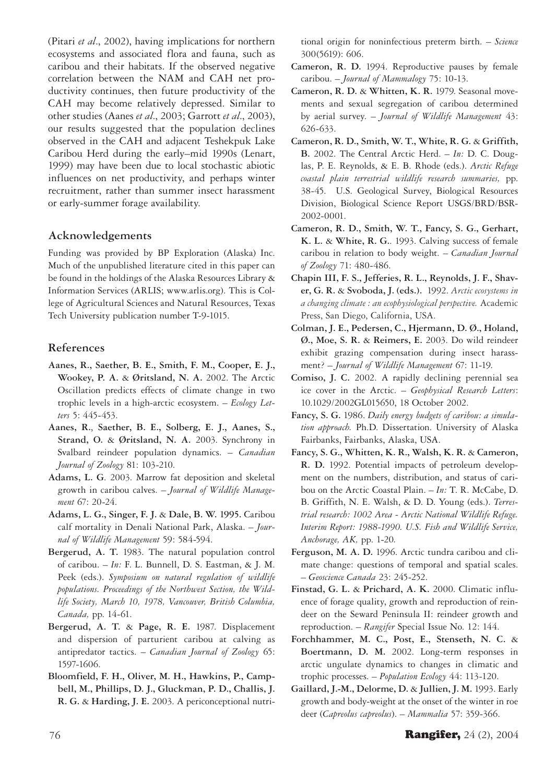(Pitari *et al*., 2002), having implications for northern ecosystems and associated flora and fauna, such as caribou and their habitats. If the observed negative correlation between the NAM and CAH net productivity continues, then future productivity of the CAH may become relatively depressed. Similar to other studies (Aanes *et al*., 2003; Garrott *et al*., 2003), our results suggested that the population declines observed in the CAH and adjacent Teshekpuk Lake Caribou Herd during the early–mid 1990s (Lenart, 1999) may have been due to local stochastic abiotic influences on net productivity, and perhaps winter recruitment, rather than summer insect harassment or early-summer forage availability.

## **Acknowledgements**

Funding was provided by BP Exploration (Alaska) Inc. Much of the unpublished literature cited in this paper can be found in the holdings of the Alaska Resources Library & Information Services (ARLIS; www.arlis.org). This is College of Agricultural Sciences and Natural Resources, Texas Tech University publication number T-9-1015.

## **References**

- **Aanes, R., Saether, B. E., Smith, F. M., Cooper, E. J., Wookey, P. A.** & **Øritsland, N. A.** 2002. The Arctic Oscillation predicts effects of climate change in two trophic levels in a high-arctic ecosystem. – *Ecology Letters* 5: 445-453.
- **Aanes, R.**, **Saether, B. E., Solberg, E. J., Aanes, S., Strand, O.** & **Øritsland, N. A.** 2003. Synchrony in Svalbard reindeer population dynamics. – *Canadian Journal of Zoology* 81: 103-210.
- **Adams, L. G**. 2003. Marrow fat deposition and skeletal growth in caribou calves. – *Journal of Wildlife Management* 67: 20-24.
- **Adams, L. G., Singer, F. J.** & **Dale, B. W. 1995.** Caribou calf mortality in Denali National Park, Alaska. – *Journal of Wildlife Management* 59: 584-594.
- **Bergerud, A. T.** 1983. The natural population control of caribou. – *In:* F. L. Bunnell, D. S. Eastman, & J. M. Peek (eds.). *Symposium on natural regulation of wildlife populations. Proceedings of the Northwest Section, the Wildlife Society, March 10, 1978, Vancouver, British Columbia, Canada,* pp. 14-61.
- **Bergerud, A. T.** & **Page, R. E.** 1987. Displacement and dispersion of parturient caribou at calving as antipredator tactics. – *Canadian Journal of Zoology* 65: 1597-1606.
- **Bloomfield, F. H., Oliver, M. H., Hawkins, P., Campbell, M., Phillips, D. J., Gluckman, P. D., Challis, J. R. G.** & **Harding, J. E.** 2003. A periconceptional nutri-

tional origin for noninfectious preterm birth. – *Science*  300(5619): 606.

- **Cameron, R. D.** 1994. Reproductive pauses by female caribou. – *Journal of Mammalogy* 75: 10-13.
- **Cameron, R. D.** & **Whitten, K. R.** 1979. Seasonal movements and sexual segregation of caribou determined by aerial survey. – *Journal of Wildlife Management* 43: 626-633.
- **Cameron, R. D., Smith, W. T., White, R. G.** & **Griffith, B.** 2002. The Central Arctic Herd. – *In:* D. C. Douglas, P. E. Reynolds, & E. B. Rhode (eds.). *Arctic Refuge coastal plain terrestrial wildlife research summaries,* pp. 38-45. U.S. Geological Survey, Biological Resources Division, Biological Science Report USGS/BRD/BSR-2002-0001.
- **Cameron, R. D., Smith, W. T., Fancy, S. G., Gerhart, K. L.** & **White, R. G.**. 1993. Calving success of female caribou in relation to body weight. – *Canadian Journal of Zoology* 71: 480-486.
- **Chapin III, F. S., Jefferies, R. L., Reynolds, J. F., Shaver, G. R.** & **Svoboda, J. (eds.).** 1992. *Arctic ecosystems in a changing climate : an ecophysiological perspective.* Academic Press, San Diego, California, USA.
- **Colman, J. E., Pedersen, C., Hjermann, D. Ø., Holand, Ø., Moe, S. R.** & **Reimers, E.** 2003. Do wild reindeer exhibit grazing compensation during insect harassment? – *Journal of Wildlife Management* 67: 11-19.
- **Comiso, J. C.** 2002. A rapidly declining perennial sea ice cover in the Arctic. – *Geophysical Research Letters*: 10.1029/2002GL015650, 18 October 2002.
- **Fancy, S. G.** 1986. *Daily energy budgets of caribou: a simulation approach.* Ph.D. Dissertation. University of Alaska Fairbanks, Fairbanks, Alaska, USA.
- **Fancy, S. G., Whitten, K. R., Walsh, K. R.** & **Cameron, R. D.** 1992. Potential impacts of petroleum development on the numbers, distribution, and status of caribou on the Arctic Coastal Plain. – *In:* T. R. McCabe, D. B. Griffith, N. E. Walsh, & D. D. Young (eds.). *Terrestrial research: 1002 Area - Arctic National Wildlife Refuge. Interim Report: 1988-1990. U.S. Fish and Wildlife Service, Anchorage, AK,* pp. 1-20*.*
- **Ferguson, M. A. D.** 1996. Arctic tundra caribou and climate change: questions of temporal and spatial scales. – *Geoscience Canada* 23: 245-252.
- **Finstad, G. L.** & **Prichard, A. K.** 2000. Climatic influence of forage quality, growth and reproduction of reindeer on the Seward Peninsula II: reindeer growth and reproduction. – *Rangifer* Special Issue No. 12: 144.
- **Forchhammer, M. C., Post, E., Stenseth, N. C.** & **Boertmann, D. M.** 2002. Long-term responses in arctic ungulate dynamics to changes in climatic and trophic processes. – *Population Ecology* 44: 113-120.
- **Gaillard, J.-M., Delorme, D.** & **Jullien, J. M.** 1993. Early growth and body-weight at the onset of the winter in roe deer (*Capreolus capreolus*). – *Mammalia* 57: 359-366.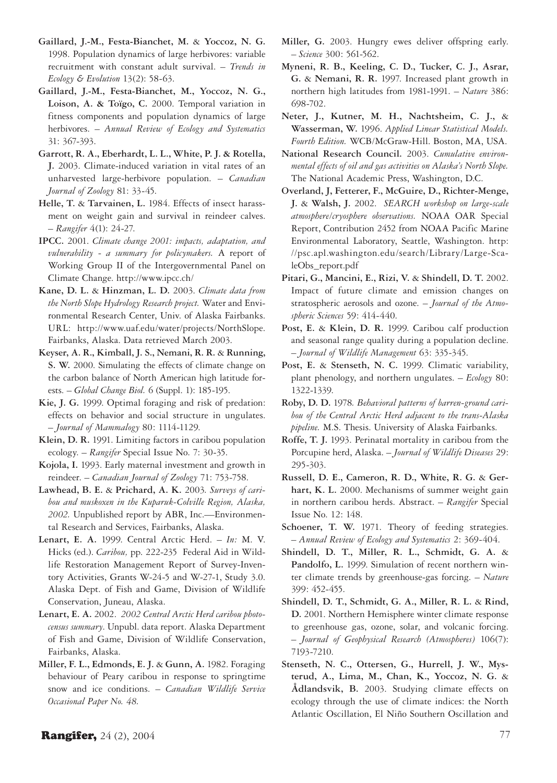- **Gaillard, J.-M., Festa-Bianchet, M.** & **Yoccoz, N. G.**  1998. Population dynamics of large herbivores: variable recruitment with constant adult survival. – *Trends in Ecology & Evolution* 13(2): 58-63.
- **Gaillard, J.-M., Festa-Bianchet, M., Yoccoz, N. G., Loison, A. & Toïgo, C.** 2000. Temporal variation in fitness components and population dynamics of large herbivores. – *Annual Review of Ecology and Systematics* 31: 367-393.
- **Garrott, R. A., Eberhardt, L. L., White, P. J. & Rotella, J.** 2003. Climate-induced variation in vital rates of an unharvested large-herbivore population. – *Canadian Journal of Zoology* 81: 33-45.
- **Helle, T.** & **Tarvainen, L.** 1984. Effects of insect harassment on weight gain and survival in reindeer calves. – *Rangifer* 4(1): 24-27.
- **IPCC.** 2001. *Climate change 2001: impacts, adaptation, and vulnerability - a summary for policymakers.* A report of Working Group II of the Intergovernmental Panel on Climate Change. http://www.ipcc.ch/
- **Kane, D. L.** & **Hinzman, L. D.** 2003. *Climate data from the North Slope Hydrology Research project.* Water and Environmental Research Center, Univ. of Alaska Fairbanks. URL: http://www.uaf.edu/water/projects/NorthSlope. Fairbanks, Alaska. Data retrieved March 2003.
- **Keyser, A. R., Kimball, J. S., Nemani, R. R.** & **Running, S. W.** 2000. Simulating the effects of climate change on the carbon balance of North American high latitude forests. – *Global Change Biol.* 6 (Suppl. 1): 185-195.
- **Kie, J. G.** 1999. Optimal foraging and risk of predation: effects on behavior and social structure in ungulates. – *Journal of Mammalogy* 80: 1114-1129.
- **Klein, D. R.** 1991. Limiting factors in caribou population ecology. – *Rangifer* Special Issue No. 7: 30-35.
- **Kojola, I.** 1993. Early maternal investment and growth in reindeer. – *Canadian Journal of Zoology* 71: 753-758.
- **Lawhead, B. E.** & **Prichard, A. K.** 2003*. Surveys of caribou and muskoxen in the Kuparuk-Colville Region, Alaska, 2002.* Unpublished report by ABR, Inc.—Environmental Research and Services, Fairbanks, Alaska.
- **Lenart, E. A.** 1999. Central Arctic Herd. *In:* M. V. Hicks (ed.). *Caribou,* pp. 222-235 Federal Aid in Wildlife Restoration Management Report of Survey-Inventory Activities, Grants W-24-5 and W-27-1, Study 3.0. Alaska Dept. of Fish and Game, Division of Wildlife Conservation, Juneau, Alaska.
- **Lenart, E. A.** 2002. *2002 Central Arctic Herd caribou photocensus summary*. Unpubl. data report. Alaska Department of Fish and Game, Division of Wildlife Conservation, Fairbanks, Alaska.
- **Miller, F. L., Edmonds, E. J.** & **Gunn, A.** 1982. Foraging behaviour of Peary caribou in response to springtime snow and ice conditions. – *Canadian Wildlife Service Occasional Paper No. 48.*
- **Miller, G.** 2003. Hungry ewes deliver offspring early. – *Science* 300: 561-562.
- **Myneni, R. B., Keeling, C. D., Tucker, C. J., Asrar, G.** & **Nemani, R. R.** 1997. Increased plant growth in northern high latitudes from 1981-1991. – *Nature* 386: 698-702.
- **Neter, J., Kutner, M. H., Nachtsheim, C. J.,** & **Wasserman, W.** 1996. *Applied Linear Statistical Models. Fourth Edition.* WCB/McGraw-Hill. Boston, MA, USA.
- **National Research Council.** 2003. *Cumulative environmental effects of oil and gas activities on Alaska's North Slope.*  The National Academic Press, Washington, D.C.
- **Overland, J, Fetterer, F., McGuire, D., Richter-Menge, J.** & **Walsh, J.** 2002. *SEARCH workshop on large-scale atmosphere/cryosphere observations.* NOAA OAR Special Report, Contribution 2452 from NOAA Pacific Marine Environmental Laboratory, Seattle, Washington. http: //psc.apl.washington.edu/search/Library/Large-ScaleObs\_report.pdf
- **Pitari, G., Mancini, E., Rizi, V.** & **Shindell, D. T.** 2002. Impact of future climate and emission changes on stratospheric aerosols and ozone. – *Journal of the Atmospheric Sciences* 59: 414-440.
- **Post, E.** & **Klein, D. R.** 1999. Caribou calf production and seasonal range quality during a population decline. – *Journal of Wildlife Management* 63: 335-345.
- **Post, E.** & **Stenseth, N. C.** 1999. Climatic variability, plant phenology, and northern ungulates. – *Ecology* 80: 1322-1339.
- **Roby, D. D.** 1978*. Behavioral patterns of barren-ground caribou of the Central Arctic Herd adjacent to the trans-Alaska pipeline.* M.S. Thesis. University of Alaska Fairbanks.
- **Roffe, T. J.** 1993. Perinatal mortality in caribou from the Porcupine herd, Alaska. – *Journal of Wildlife Diseases* 29: 295-303.
- **Russell, D. E., Cameron, R. D., White, R. G.** & **Gerhart, K. L.** 2000. Mechanisms of summer weight gain in northern caribou herds. Abstract. – *Rangifer* Special Issue No. 12: 148.
- Schoener, T. W. 1971. Theory of feeding strategies. – *Annual Review of Ecology and Systematics* 2: 369-404.
- **Shindell, D. T., Miller, R. L., Schmidt, G. A.** & **Pandolfo, L.** 1999. Simulation of recent northern winter climate trends by greenhouse-gas forcing. – *Nature*  399: 452-455.
- **Shindell, D. T., Schmidt, G. A., Miller, R. L.** & **Rind, D.** 2001. Northern Hemisphere winter climate response to greenhouse gas, ozone, solar, and volcanic forcing. – *Journal of Geophysical Research (Atmospheres)* 106(7): 7193-7210.
- **Stenseth, N. C., Ottersen, G., Hurrell, J. W., Mysterud, A., Lima, M., Chan, K., Yoccoz, N. G.** & **Ådlandsvik, B.** 2003. Studying climate effects on ecology through the use of climate indices: the North Atlantic Oscillation, El Niño Southern Oscillation and